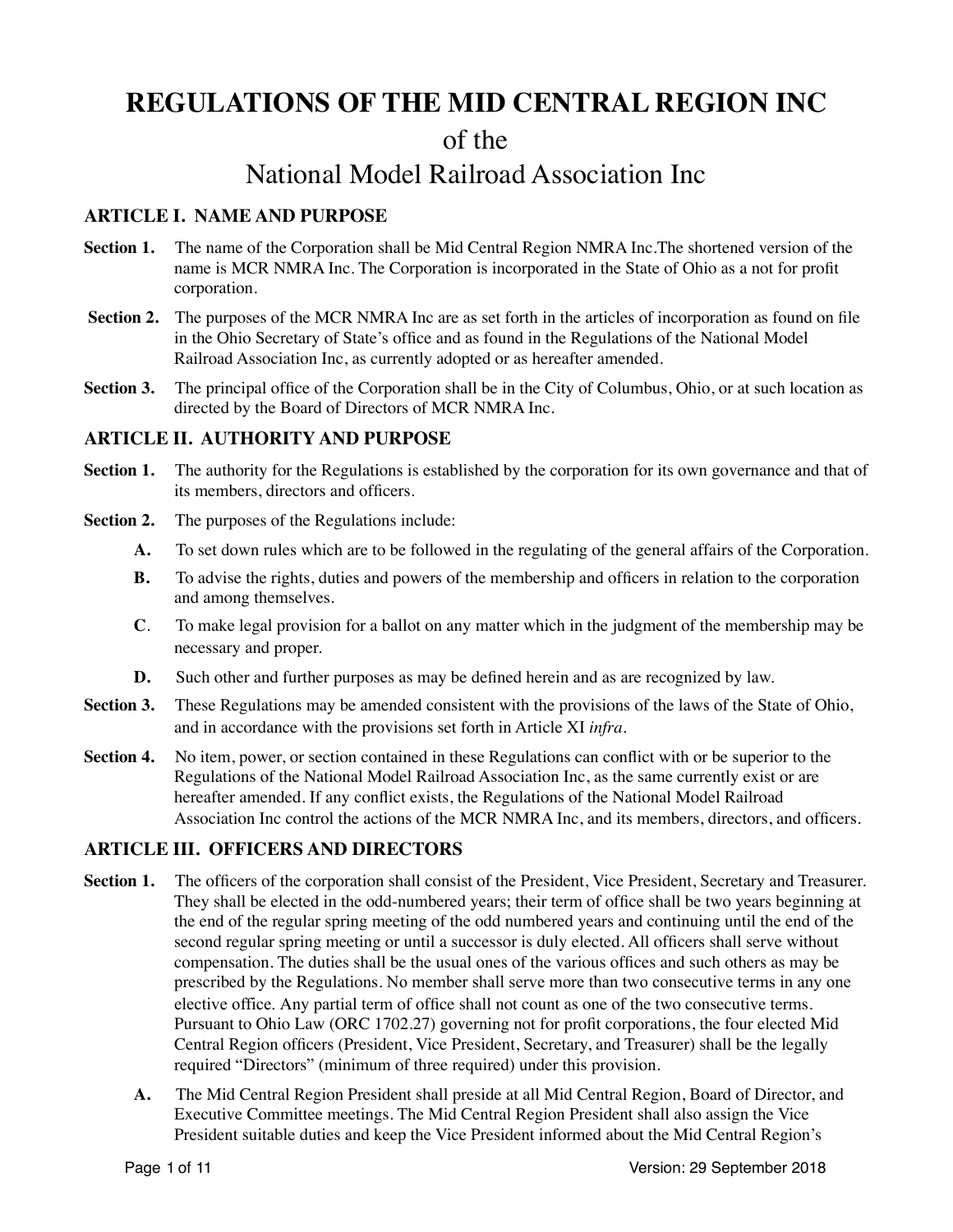# **REGULATIONS OF THE MID CENTRAL REGION INC**

# of the

# National Model Railroad Association Inc

# **ARTICLE I. NAME AND PURPOSE**

- **Section 1.** The name of the Corporation shall be Mid Central Region NMRA Inc. The shortened version of the name is MCR NMRA Inc. The Corporation is incorporated in the State of Ohio as a not for profit corporation.
- **Section 2.** The purposes of the MCR NMRA Inc are as set forth in the articles of incorporation as found on file in the Ohio Secretary of State's office and as found in the Regulations of the National Model Railroad Association Inc, as currently adopted or as hereafter amended.
- **Section 3.** The principal office of the Corporation shall be in the City of Columbus, Ohio, or at such location as directed by the Board of Directors of MCR NMRA Inc.

## **ARTICLE II. AUTHORITY AND PURPOSE**

- **Section 1.** The authority for the Regulations is established by the corporation for its own governance and that of its members, directors and officers.
- **Section 2.** The purposes of the Regulations include:
	- **A.** To set down rules which are to be followed in the regulating of the general affairs of the Corporation.
	- **B.** To advise the rights, duties and powers of the membership and officers in relation to the corporation and among themselves.
	- **C**. To make legal provision for a ballot on any matter which in the judgment of the membership may be necessary and proper.
	- **D.** Such other and further purposes as may be defined herein and as are recognized by law.
- **Section 3.** These Regulations may be amended consistent with the provisions of the laws of the State of Ohio, and in accordance with the provisions set forth in Article XI *infra*.
- **Section 4.** No item, power, or section contained in these Regulations can conflict with or be superior to the Regulations of the National Model Railroad Association Inc, as the same currently exist or are hereafter amended. If any conflict exists, the Regulations of the National Model Railroad Association Inc control the actions of the MCR NMRA Inc, and its members, directors, and officers.

# **ARTICLE III. OFFICERS AND DIRECTORS**

- Section 1. The officers of the corporation shall consist of the President, Vice President, Secretary and Treasurer. They shall be elected in the odd-numbered years; their term of office shall be two years beginning at the end of the regular spring meeting of the odd numbered years and continuing until the end of the second regular spring meeting or until a successor is duly elected. All officers shall serve without compensation. The duties shall be the usual ones of the various offices and such others as may be prescribed by the Regulations. No member shall serve more than two consecutive terms in any one elective office. Any partial term of office shall not count as one of the two consecutive terms. Pursuant to Ohio Law (ORC 1702.27) governing not for profit corporations, the four elected Mid Central Region officers (President, Vice President, Secretary, and Treasurer) shall be the legally required "Directors" (minimum of three required) under this provision.
	- **A.** The Mid Central Region President shall preside at all Mid Central Region, Board of Director, and Executive Committee meetings. The Mid Central Region President shall also assign the Vice President suitable duties and keep the Vice President informed about the Mid Central Region's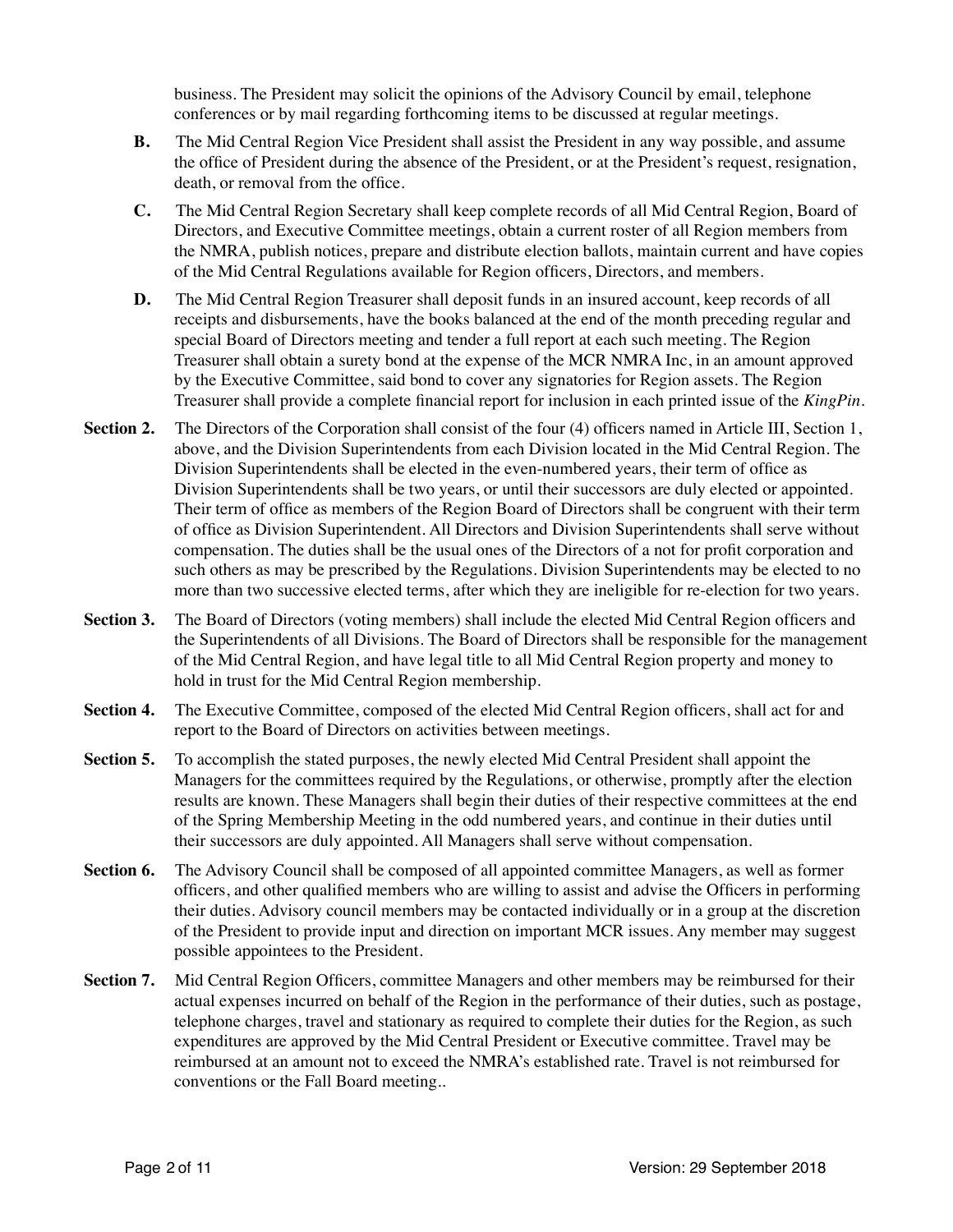business. The President may solicit the opinions of the Advisory Council by email, telephone conferences or by mail regarding forthcoming items to be discussed at regular meetings.

- **B.** The Mid Central Region Vice President shall assist the President in any way possible, and assume the office of President during the absence of the President, or at the President's request, resignation, death, or removal from the office.
- **C.** The Mid Central Region Secretary shall keep complete records of all Mid Central Region, Board of Directors, and Executive Committee meetings, obtain a current roster of all Region members from the NMRA, publish notices, prepare and distribute election ballots, maintain current and have copies of the Mid Central Regulations available for Region officers, Directors, and members.
- **D.** The Mid Central Region Treasurer shall deposit funds in an insured account, keep records of all receipts and disbursements, have the books balanced at the end of the month preceding regular and special Board of Directors meeting and tender a full report at each such meeting. The Region Treasurer shall obtain a surety bond at the expense of the MCR NMRA Inc, in an amount approved by the Executive Committee, said bond to cover any signatories for Region assets. The Region Treasurer shall provide a complete financial report for inclusion in each printed issue of the *KingPin.*
- **Section 2.** The Directors of the Corporation shall consist of the four (4) officers named in Article III, Section 1, above, and the Division Superintendents from each Division located in the Mid Central Region. The Division Superintendents shall be elected in the even-numbered years, their term of office as Division Superintendents shall be two years, or until their successors are duly elected or appointed. Their term of office as members of the Region Board of Directors shall be congruent with their term of office as Division Superintendent. All Directors and Division Superintendents shall serve without compensation. The duties shall be the usual ones of the Directors of a not for profit corporation and such others as may be prescribed by the Regulations. Division Superintendents may be elected to no more than two successive elected terms, after which they are ineligible for re-election for two years.
- **Section 3.** The Board of Directors (voting members) shall include the elected Mid Central Region officers and the Superintendents of all Divisions. The Board of Directors shall be responsible for the management of the Mid Central Region, and have legal title to all Mid Central Region property and money to hold in trust for the Mid Central Region membership.
- **Section 4.** The Executive Committee, composed of the elected Mid Central Region officers, shall act for and report to the Board of Directors on activities between meetings.
- **Section 5.** To accomplish the stated purposes, the newly elected Mid Central President shall appoint the Managers for the committees required by the Regulations, or otherwise, promptly after the election results are known. These Managers shall begin their duties of their respective committees at the end of the Spring Membership Meeting in the odd numbered years, and continue in their duties until their successors are duly appointed. All Managers shall serve without compensation.
- **Section 6.** The Advisory Council shall be composed of all appointed committee Managers, as well as former officers, and other qualified members who are willing to assist and advise the Officers in performing their duties. Advisory council members may be contacted individually or in a group at the discretion of the President to provide input and direction on important MCR issues. Any member may suggest possible appointees to the President.
- **Section 7.** Mid Central Region Officers, committee Managers and other members may be reimbursed for their actual expenses incurred on behalf of the Region in the performance of their duties, such as postage, telephone charges, travel and stationary as required to complete their duties for the Region, as such expenditures are approved by the Mid Central President or Executive committee. Travel may be reimbursed at an amount not to exceed the NMRA's established rate. Travel is not reimbursed for conventions or the Fall Board meeting..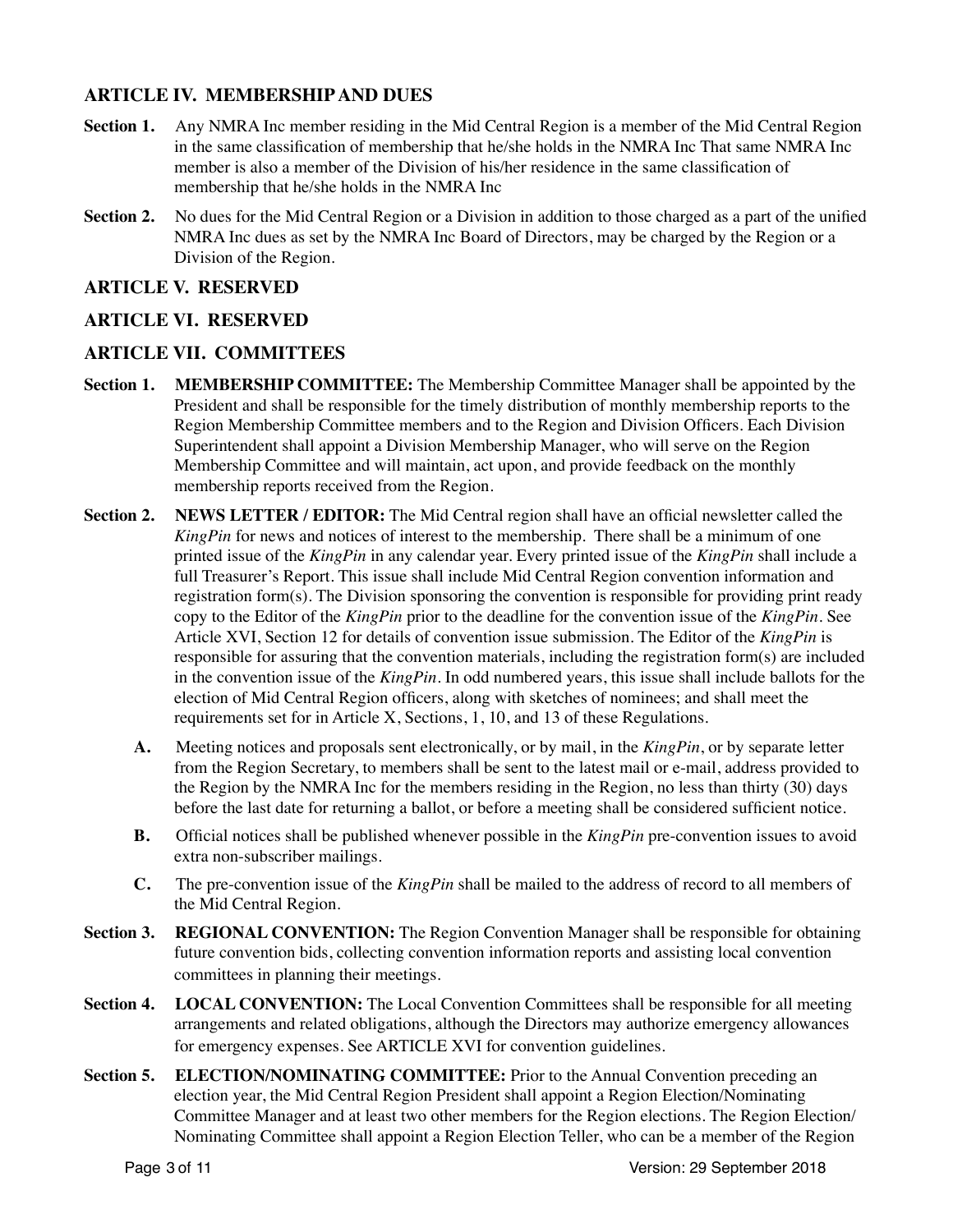# **ARTICLE IV. MEMBERSHIP AND DUES**

- **Section 1.** Any NMRA Inc member residing in the Mid Central Region is a member of the Mid Central Region in the same classification of membership that he/she holds in the NMRA Inc That same NMRA Inc member is also a member of the Division of his/her residence in the same classification of membership that he/she holds in the NMRA Inc
- **Section 2.** No dues for the Mid Central Region or a Division in addition to those charged as a part of the unified NMRA Inc dues as set by the NMRA Inc Board of Directors, may be charged by the Region or a Division of the Region.

## **ARTICLE V. RESERVED**

## **ARTICLE VI. RESERVED**

## **ARTICLE VII. COMMITTEES**

- **Section 1. MEMBERSHIP COMMITTEE:** The Membership Committee Manager shall be appointed by the President and shall be responsible for the timely distribution of monthly membership reports to the Region Membership Committee members and to the Region and Division Officers. Each Division Superintendent shall appoint a Division Membership Manager, who will serve on the Region Membership Committee and will maintain, act upon, and provide feedback on the monthly membership reports received from the Region.
- **Section 2. NEWS LETTER / EDITOR:** The Mid Central region shall have an official newsletter called the *KingPin* for news and notices of interest to the membership. There shall be a minimum of one printed issue of the *KingPin* in any calendar year. Every printed issue of the *KingPin* shall include a full Treasurer's Report. This issue shall include Mid Central Region convention information and registration form(s). The Division sponsoring the convention is responsible for providing print ready copy to the Editor of the *KingPin* prior to the deadline for the convention issue of the *KingPin*. See Article XVI, Section 12 for details of convention issue submission. The Editor of the *KingPin* is responsible for assuring that the convention materials, including the registration form(s) are included in the convention issue of the *KingPin*. In odd numbered years, this issue shall include ballots for the election of Mid Central Region officers, along with sketches of nominees; and shall meet the requirements set for in Article X, Sections, 1, 10, and 13 of these Regulations.
	- **A.** Meeting notices and proposals sent electronically, or by mail, in the *KingPin*, or by separate letter from the Region Secretary, to members shall be sent to the latest mail or e-mail, address provided to the Region by the NMRA Inc for the members residing in the Region, no less than thirty (30) days before the last date for returning a ballot, or before a meeting shall be considered sufficient notice.
	- **B.** Official notices shall be published whenever possible in the *KingPin* pre-convention issues to avoid extra non-subscriber mailings.
	- **C.** The pre-convention issue of the *KingPin* shall be mailed to the address of record to all members of the Mid Central Region.
- **Section 3. REGIONAL CONVENTION:** The Region Convention Manager shall be responsible for obtaining future convention bids, collecting convention information reports and assisting local convention committees in planning their meetings.
- **Section 4. LOCAL CONVENTION:** The Local Convention Committees shall be responsible for all meeting arrangements and related obligations, although the Directors may authorize emergency allowances for emergency expenses*.* See ARTICLE XVI for convention guidelines.
- **Section 5. ELECTION/NOMINATING COMMITTEE:** Prior to the Annual Convention preceding an election year, the Mid Central Region President shall appoint a Region Election/Nominating Committee Manager and at least two other members for the Region elections. The Region Election/ Nominating Committee shall appoint a Region Election Teller, who can be a member of the Region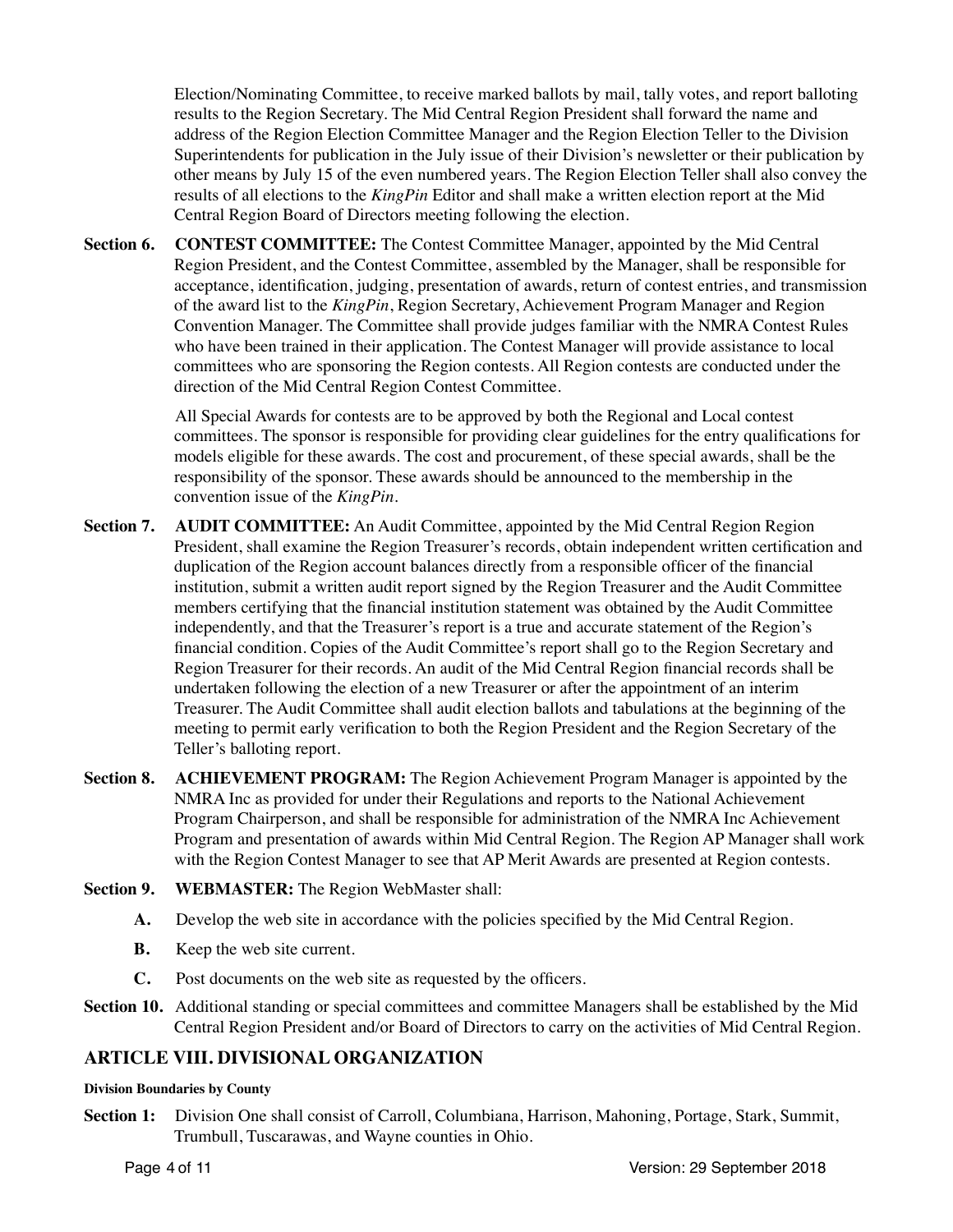Election/Nominating Committee, to receive marked ballots by mail, tally votes, and report balloting results to the Region Secretary. The Mid Central Region President shall forward the name and address of the Region Election Committee Manager and the Region Election Teller to the Division Superintendents for publication in the July issue of their Division's newsletter or their publication by other means by July 15 of the even numbered years. The Region Election Teller shall also convey the results of all elections to the *KingPin* Editor and shall make a written election report at the Mid Central Region Board of Directors meeting following the election.

**Section 6. CONTEST COMMITTEE:** The Contest Committee Manager, appointed by the Mid Central Region President, and the Contest Committee, assembled by the Manager, shall be responsible for acceptance, identification, judging, presentation of awards, return of contest entries, and transmission of the award list to the *KingPin*, Region Secretary, Achievement Program Manager and Region Convention Manager. The Committee shall provide judges familiar with the NMRA Contest Rules who have been trained in their application. The Contest Manager will provide assistance to local committees who are sponsoring the Region contests. All Region contests are conducted under the direction of the Mid Central Region Contest Committee.

> All Special Awards for contests are to be approved by both the Regional and Local contest committees. The sponsor is responsible for providing clear guidelines for the entry qualifications for models eligible for these awards. The cost and procurement, of these special awards, shall be the responsibility of the sponsor. These awards should be announced to the membership in the convention issue of the *KingPin*.

- **Section 7. AUDIT COMMITTEE:** An Audit Committee, appointed by the Mid Central Region Region President, shall examine the Region Treasurer's records, obtain independent written certification and duplication of the Region account balances directly from a responsible officer of the financial institution, submit a written audit report signed by the Region Treasurer and the Audit Committee members certifying that the financial institution statement was obtained by the Audit Committee independently, and that the Treasurer's report is a true and accurate statement of the Region's financial condition. Copies of the Audit Committee's report shall go to the Region Secretary and Region Treasurer for their records. An audit of the Mid Central Region financial records shall be undertaken following the election of a new Treasurer or after the appointment of an interim Treasurer. The Audit Committee shall audit election ballots and tabulations at the beginning of the meeting to permit early verification to both the Region President and the Region Secretary of the Teller's balloting report.
- **Section 8. ACHIEVEMENT PROGRAM:** The Region Achievement Program Manager is appointed by the NMRA Inc as provided for under their Regulations and reports to the National Achievement Program Chairperson, and shall be responsible for administration of the NMRA Inc Achievement Program and presentation of awards within Mid Central Region. The Region AP Manager shall work with the Region Contest Manager to see that AP Merit Awards are presented at Region contests.
- **Section 9. WEBMASTER:** The Region WebMaster shall:
	- **A.** Develop the web site in accordance with the policies specified by the Mid Central Region.
	- **B.** Keep the web site current.
	- **C.** Post documents on the web site as requested by the officers.
- **Section 10.** Additional standing or special committees and committee Managers shall be established by the Mid Central Region President and/or Board of Directors to carry on the activities of Mid Central Region.

# **ARTICLE VIII. DIVISIONAL ORGANIZATION**

### **Division Boundaries by County**

**Section 1:** Division One shall consist of Carroll, Columbiana, Harrison, Mahoning, Portage, Stark, Summit, Trumbull, Tuscarawas, and Wayne counties in Ohio.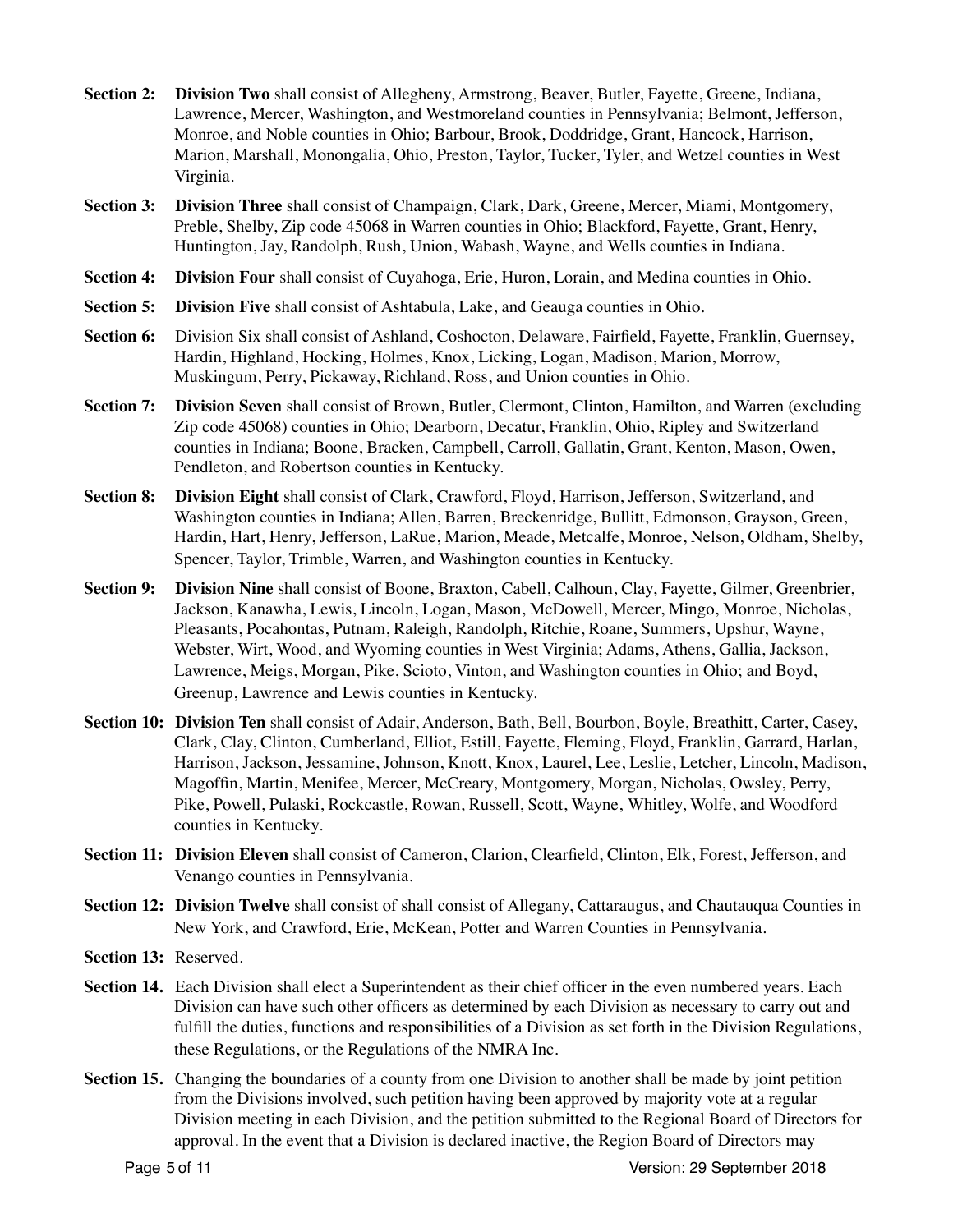- **Section 2: Division Two** shall consist of Allegheny, Armstrong, Beaver, Butler, Fayette, Greene, Indiana, Lawrence, Mercer, Washington, and Westmoreland counties in Pennsylvania; Belmont, Jefferson, Monroe, and Noble counties in Ohio; Barbour, Brook, Doddridge, Grant, Hancock, Harrison, Marion, Marshall, Monongalia, Ohio, Preston, Taylor, Tucker, Tyler, and Wetzel counties in West Virginia.
- **Section 3: Division Three** shall consist of Champaign, Clark, Dark, Greene, Mercer, Miami, Montgomery, Preble, Shelby, Zip code 45068 in Warren counties in Ohio; Blackford, Fayette, Grant, Henry, Huntington, Jay, Randolph, Rush, Union, Wabash, Wayne, and Wells counties in Indiana.
- **Section 4:** Division Four shall consist of Cuyahoga, Erie, Huron, Lorain, and Medina counties in Ohio.
- **Section 5:** Division Five shall consist of Ashtabula, Lake, and Geauga counties in Ohio.
- **Section 6:** Division Six shall consist of Ashland, Coshocton, Delaware, Fairfield, Fayette, Franklin, Guernsey, Hardin, Highland, Hocking, Holmes, Knox, Licking, Logan, Madison, Marion, Morrow, Muskingum, Perry, Pickaway, Richland, Ross, and Union counties in Ohio.
- **Section 7:** Division Seven shall consist of Brown, Butler, Clermont, Clinton, Hamilton, and Warren (excluding Zip code 45068) counties in Ohio; Dearborn, Decatur, Franklin, Ohio, Ripley and Switzerland counties in Indiana; Boone, Bracken, Campbell, Carroll, Gallatin, Grant, Kenton, Mason, Owen, Pendleton, and Robertson counties in Kentucky.
- **Section 8: Division Eight** shall consist of Clark, Crawford, Floyd, Harrison, Jefferson, Switzerland, and Washington counties in Indiana; Allen, Barren, Breckenridge, Bullitt, Edmonson, Grayson, Green, Hardin, Hart, Henry, Jefferson, LaRue, Marion, Meade, Metcalfe, Monroe, Nelson, Oldham, Shelby, Spencer, Taylor, Trimble, Warren, and Washington counties in Kentucky.
- **Section 9: Division Nine** shall consist of Boone, Braxton, Cabell, Calhoun, Clay, Fayette, Gilmer, Greenbrier, Jackson, Kanawha, Lewis, Lincoln, Logan, Mason, McDowell, Mercer, Mingo, Monroe, Nicholas, Pleasants, Pocahontas, Putnam, Raleigh, Randolph, Ritchie, Roane, Summers, Upshur, Wayne, Webster, Wirt, Wood, and Wyoming counties in West Virginia; Adams, Athens, Gallia, Jackson, Lawrence, Meigs, Morgan, Pike, Scioto, Vinton, and Washington counties in Ohio; and Boyd, Greenup, Lawrence and Lewis counties in Kentucky.
- **Section 10: Division Ten** shall consist of Adair, Anderson, Bath, Bell, Bourbon, Boyle, Breathitt, Carter, Casey, Clark, Clay, Clinton, Cumberland, Elliot, Estill, Fayette, Fleming, Floyd, Franklin, Garrard, Harlan, Harrison, Jackson, Jessamine, Johnson, Knott, Knox, Laurel, Lee, Leslie, Letcher, Lincoln, Madison, Magoffin, Martin, Menifee, Mercer, McCreary, Montgomery, Morgan, Nicholas, Owsley, Perry, Pike, Powell, Pulaski, Rockcastle, Rowan, Russell, Scott, Wayne, Whitley, Wolfe, and Woodford counties in Kentucky.
- **Section 11: Division Eleven** shall consist of Cameron, Clarion, Clearfield, Clinton, Elk, Forest, Jefferson, and Venango counties in Pennsylvania.
- **Section 12: Division Twelve** shall consist of shall consist of Allegany, Cattaraugus, and Chautauqua Counties in New York, and Crawford, Erie, McKean, Potter and Warren Counties in Pennsylvania.
- **Section 13:** Reserved.
- **Section 14.** Each Division shall elect a Superintendent as their chief officer in the even numbered years. Each Division can have such other officers as determined by each Division as necessary to carry out and fulfill the duties, functions and responsibilities of a Division as set forth in the Division Regulations, these Regulations, or the Regulations of the NMRA Inc.
- **Section 15.** Changing the boundaries of a county from one Division to another shall be made by joint petition from the Divisions involved, such petition having been approved by majority vote at a regular Division meeting in each Division, and the petition submitted to the Regional Board of Directors for approval. In the event that a Division is declared inactive, the Region Board of Directors may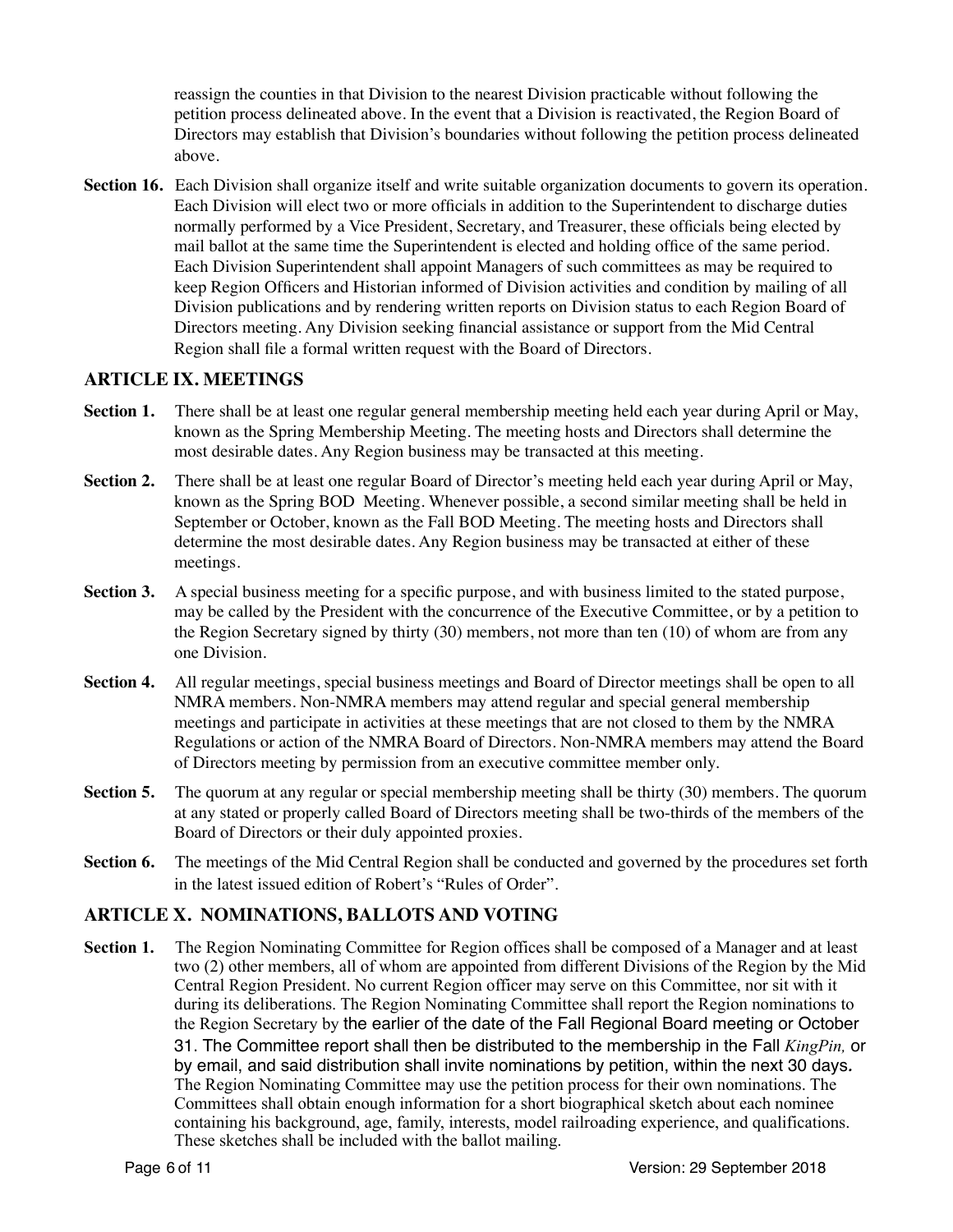reassign the counties in that Division to the nearest Division practicable without following the petition process delineated above. In the event that a Division is reactivated, the Region Board of Directors may establish that Division's boundaries without following the petition process delineated above.

**Section 16.** Each Division shall organize itself and write suitable organization documents to govern its operation. Each Division will elect two or more officials in addition to the Superintendent to discharge duties normally performed by a Vice President, Secretary, and Treasurer, these officials being elected by mail ballot at the same time the Superintendent is elected and holding office of the same period. Each Division Superintendent shall appoint Managers of such committees as may be required to keep Region Officers and Historian informed of Division activities and condition by mailing of all Division publications and by rendering written reports on Division status to each Region Board of Directors meeting. Any Division seeking financial assistance or support from the Mid Central Region shall file a formal written request with the Board of Directors.

# **ARTICLE IX. MEETINGS**

- **Section 1.** There shall be at least one regular general membership meeting held each year during April or May, known as the Spring Membership Meeting. The meeting hosts and Directors shall determine the most desirable dates. Any Region business may be transacted at this meeting.
- **Section 2.** There shall be at least one regular Board of Director's meeting held each year during April or May, known as the Spring BOD Meeting. Whenever possible, a second similar meeting shall be held in September or October, known as the Fall BOD Meeting. The meeting hosts and Directors shall determine the most desirable dates. Any Region business may be transacted at either of these meetings.
- **Section 3.** A special business meeting for a specific purpose, and with business limited to the stated purpose, may be called by the President with the concurrence of the Executive Committee, or by a petition to the Region Secretary signed by thirty (30) members, not more than ten (10) of whom are from any one Division.
- **Section 4.** All regular meetings, special business meetings and Board of Director meetings shall be open to all NMRA members. Non-NMRA members may attend regular and special general membership meetings and participate in activities at these meetings that are not closed to them by the NMRA Regulations or action of the NMRA Board of Directors. Non-NMRA members may attend the Board of Directors meeting by permission from an executive committee member only.
- **Section 5.** The quorum at any regular or special membership meeting shall be thirty (30) members. The quorum at any stated or properly called Board of Directors meeting shall be two-thirds of the members of the Board of Directors or their duly appointed proxies.
- **Section 6.** The meetings of the Mid Central Region shall be conducted and governed by the procedures set forth in the latest issued edition of Robert's "Rules of Order".

# **ARTICLE X. NOMINATIONS, BALLOTS AND VOTING**

**Section 1.** The Region Nominating Committee for Region offices shall be composed of a Manager and at least two (2) other members, all of whom are appointed from different Divisions of the Region by the Mid Central Region President. No current Region officer may serve on this Committee, nor sit with it during its deliberations. The Region Nominating Committee shall report the Region nominations to the Region Secretary by the earlier of the date of the Fall Regional Board meeting or October 31. The Committee report shall then be distributed to the membership in the Fall *KingPin,* or by email, and said distribution shall invite nominations by petition, within the next 30 days*.*  The Region Nominating Committee may use the petition process for their own nominations. The Committees shall obtain enough information for a short biographical sketch about each nominee containing his background, age, family, interests, model railroading experience, and qualifications. These sketches shall be included with the ballot mailing.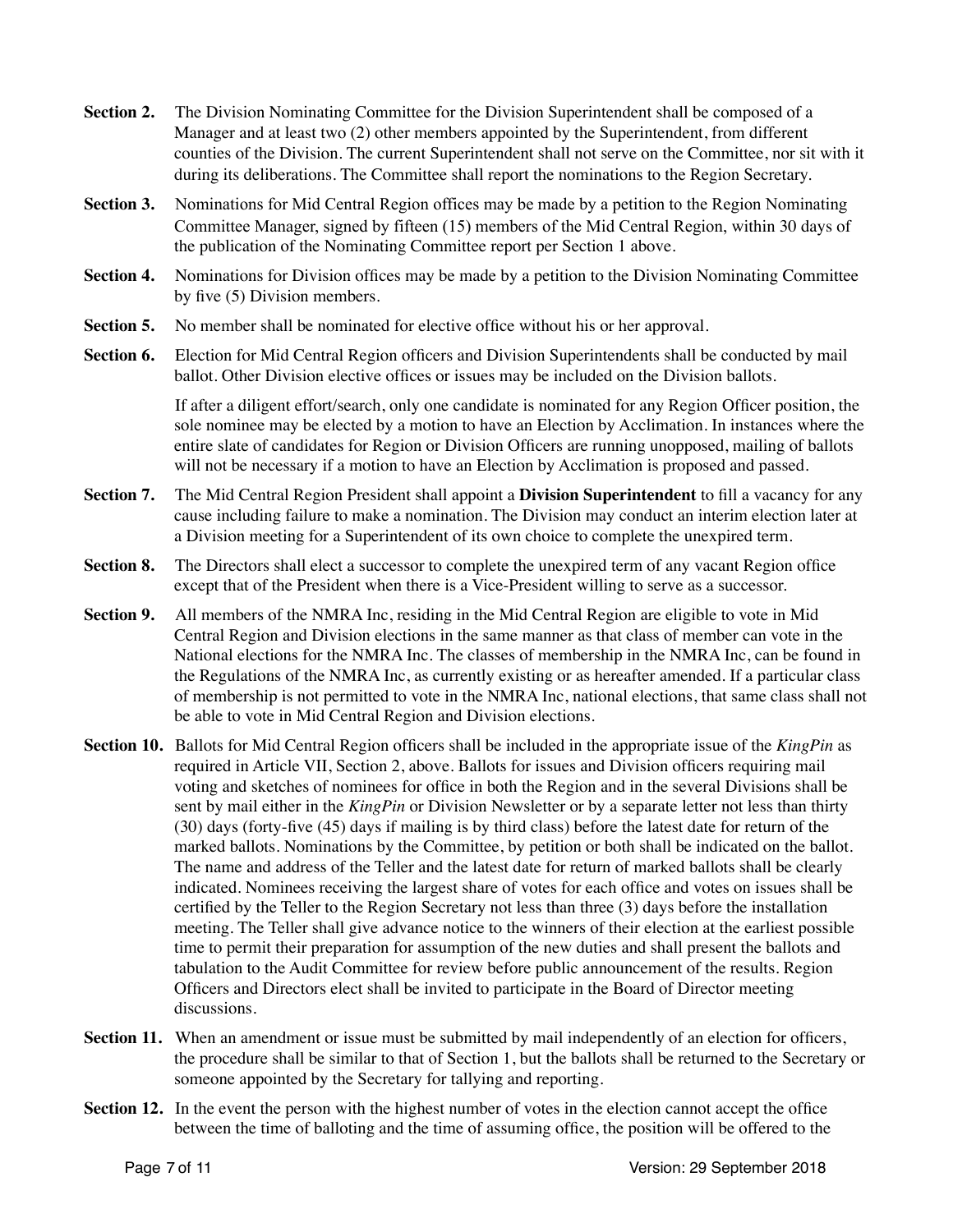- **Section 2.** The Division Nominating Committee for the Division Superintendent shall be composed of a Manager and at least two (2) other members appointed by the Superintendent, from different counties of the Division. The current Superintendent shall not serve on the Committee, nor sit with it during its deliberations. The Committee shall report the nominations to the Region Secretary.
- **Section 3.** Nominations for Mid Central Region offices may be made by a petition to the Region Nominating Committee Manager, signed by fifteen (15) members of the Mid Central Region, within 30 days of the publication of the Nominating Committee report per Section 1 above.
- **Section 4.** Nominations for Division offices may be made by a petition to the Division Nominating Committee by five (5) Division members.
- **Section 5.** No member shall be nominated for elective office without his or her approval.
- **Section 6.** Election for Mid Central Region officers and Division Superintendents shall be conducted by mail ballot. Other Division elective offices or issues may be included on the Division ballots.

If after a diligent effort/search, only one candidate is nominated for any Region Officer position, the sole nominee may be elected by a motion to have an Election by Acclimation. In instances where the entire slate of candidates for Region or Division Officers are running unopposed, mailing of ballots will not be necessary if a motion to have an Election by Acclimation is proposed and passed.

- **Section 7.** The Mid Central Region President shall appoint a **Division Superintendent** to fill a vacancy for any cause including failure to make a nomination. The Division may conduct an interim election later at a Division meeting for a Superintendent of its own choice to complete the unexpired term.
- **Section 8.** The Directors shall elect a successor to complete the unexpired term of any vacant Region office except that of the President when there is a Vice-President willing to serve as a successor.
- **Section 9.** All members of the NMRA Inc, residing in the Mid Central Region are eligible to vote in Mid Central Region and Division elections in the same manner as that class of member can vote in the National elections for the NMRA Inc. The classes of membership in the NMRA Inc, can be found in the Regulations of the NMRA Inc, as currently existing or as hereafter amended. If a particular class of membership is not permitted to vote in the NMRA Inc, national elections, that same class shall not be able to vote in Mid Central Region and Division elections.
- **Section 10.** Ballots for Mid Central Region officers shall be included in the appropriate issue of the *KingPin* as required in Article VII, Section 2, above. Ballots for issues and Division officers requiring mail voting and sketches of nominees for office in both the Region and in the several Divisions shall be sent by mail either in the *KingPin* or Division Newsletter or by a separate letter not less than thirty (30) days (forty-five (45) days if mailing is by third class) before the latest date for return of the marked ballots. Nominations by the Committee, by petition or both shall be indicated on the ballot. The name and address of the Teller and the latest date for return of marked ballots shall be clearly indicated. Nominees receiving the largest share of votes for each office and votes on issues shall be certified by the Teller to the Region Secretary not less than three (3) days before the installation meeting. The Teller shall give advance notice to the winners of their election at the earliest possible time to permit their preparation for assumption of the new duties and shall present the ballots and tabulation to the Audit Committee for review before public announcement of the results. Region Officers and Directors elect shall be invited to participate in the Board of Director meeting discussions.
- **Section 11.** When an amendment or issue must be submitted by mail independently of an election for officers, the procedure shall be similar to that of Section 1, but the ballots shall be returned to the Secretary or someone appointed by the Secretary for tallying and reporting.
- **Section 12.** In the event the person with the highest number of votes in the election cannot accept the office between the time of balloting and the time of assuming office, the position will be offered to the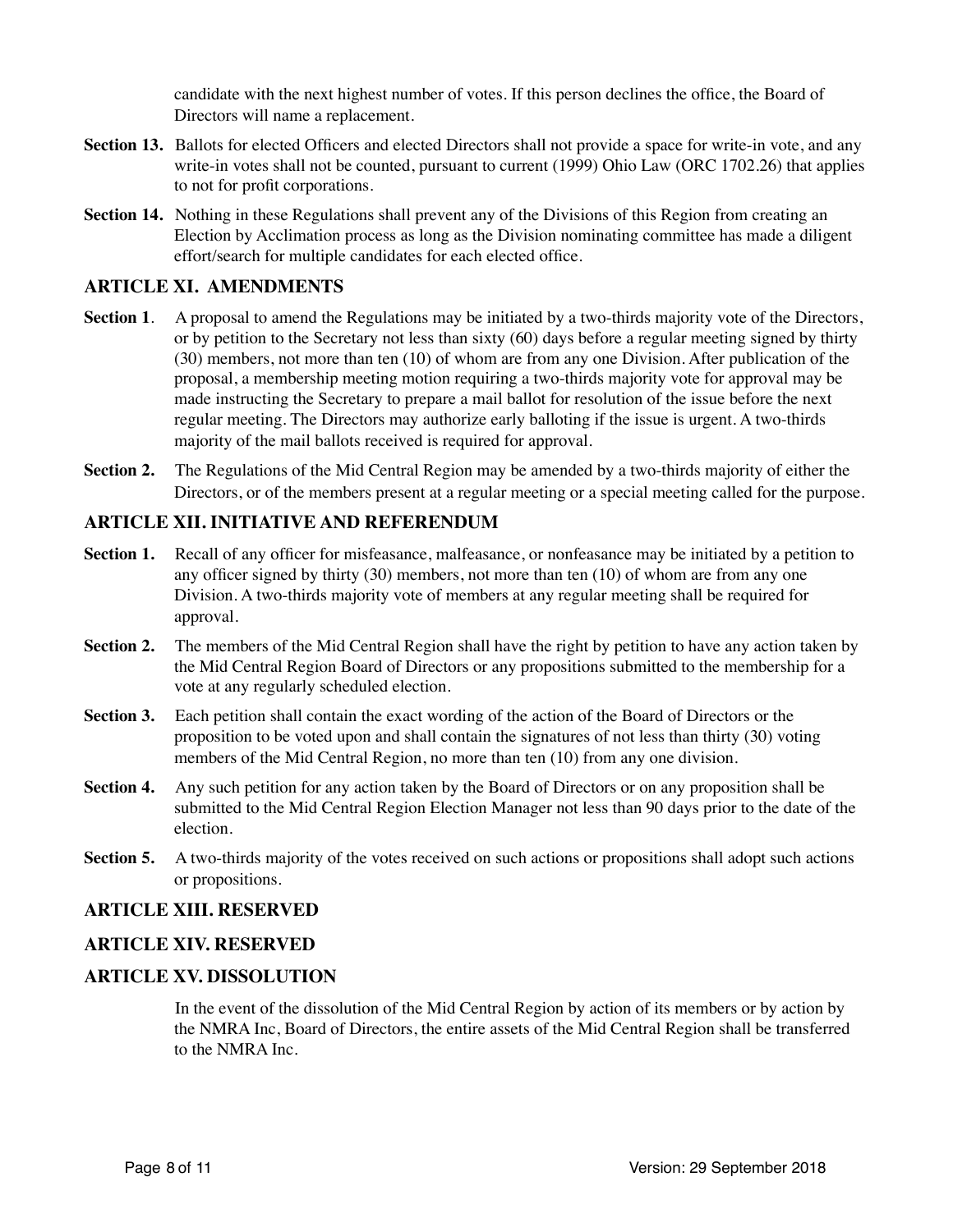candidate with the next highest number of votes. If this person declines the office, the Board of Directors will name a replacement.

- **Section 13.** Ballots for elected Officers and elected Directors shall not provide a space for write-in vote, and any write-in votes shall not be counted, pursuant to current (1999) Ohio Law (ORC 1702.26) that applies to not for profit corporations.
- **Section 14.** Nothing in these Regulations shall prevent any of the Divisions of this Region from creating an Election by Acclimation process as long as the Division nominating committee has made a diligent effort/search for multiple candidates for each elected office.

## **ARTICLE XI. AMENDMENTS**

- **Section 1.** A proposal to amend the Regulations may be initiated by a two-thirds majority vote of the Directors, or by petition to the Secretary not less than sixty (60) days before a regular meeting signed by thirty (30) members, not more than ten (10) of whom are from any one Division. After publication of the proposal, a membership meeting motion requiring a two-thirds majority vote for approval may be made instructing the Secretary to prepare a mail ballot for resolution of the issue before the next regular meeting. The Directors may authorize early balloting if the issue is urgent. A two-thirds majority of the mail ballots received is required for approval.
- **Section 2.** The Regulations of the Mid Central Region may be amended by a two-thirds majority of either the Directors, or of the members present at a regular meeting or a special meeting called for the purpose.

## **ARTICLE XII. INITIATIVE AND REFERENDUM**

- **Section 1.** Recall of any officer for misfeasance, malfeasance, or nonfeasance may be initiated by a petition to any officer signed by thirty (30) members, not more than ten (10) of whom are from any one Division. A two-thirds majority vote of members at any regular meeting shall be required for approval.
- **Section 2.** The members of the Mid Central Region shall have the right by petition to have any action taken by the Mid Central Region Board of Directors or any propositions submitted to the membership for a vote at any regularly scheduled election.
- **Section 3.** Each petition shall contain the exact wording of the action of the Board of Directors or the proposition to be voted upon and shall contain the signatures of not less than thirty (30) voting members of the Mid Central Region, no more than ten (10) from any one division.
- **Section 4.** Any such petition for any action taken by the Board of Directors or on any proposition shall be submitted to the Mid Central Region Election Manager not less than 90 days prior to the date of the election.
- **Section 5.** A two-thirds majority of the votes received on such actions or propositions shall adopt such actions or propositions.

## **ARTICLE XIII. RESERVED**

## **ARTICLE XIV. RESERVED**

## **ARTICLE XV. DISSOLUTION**

In the event of the dissolution of the Mid Central Region by action of its members or by action by the NMRA Inc, Board of Directors, the entire assets of the Mid Central Region shall be transferred to the NMRA Inc.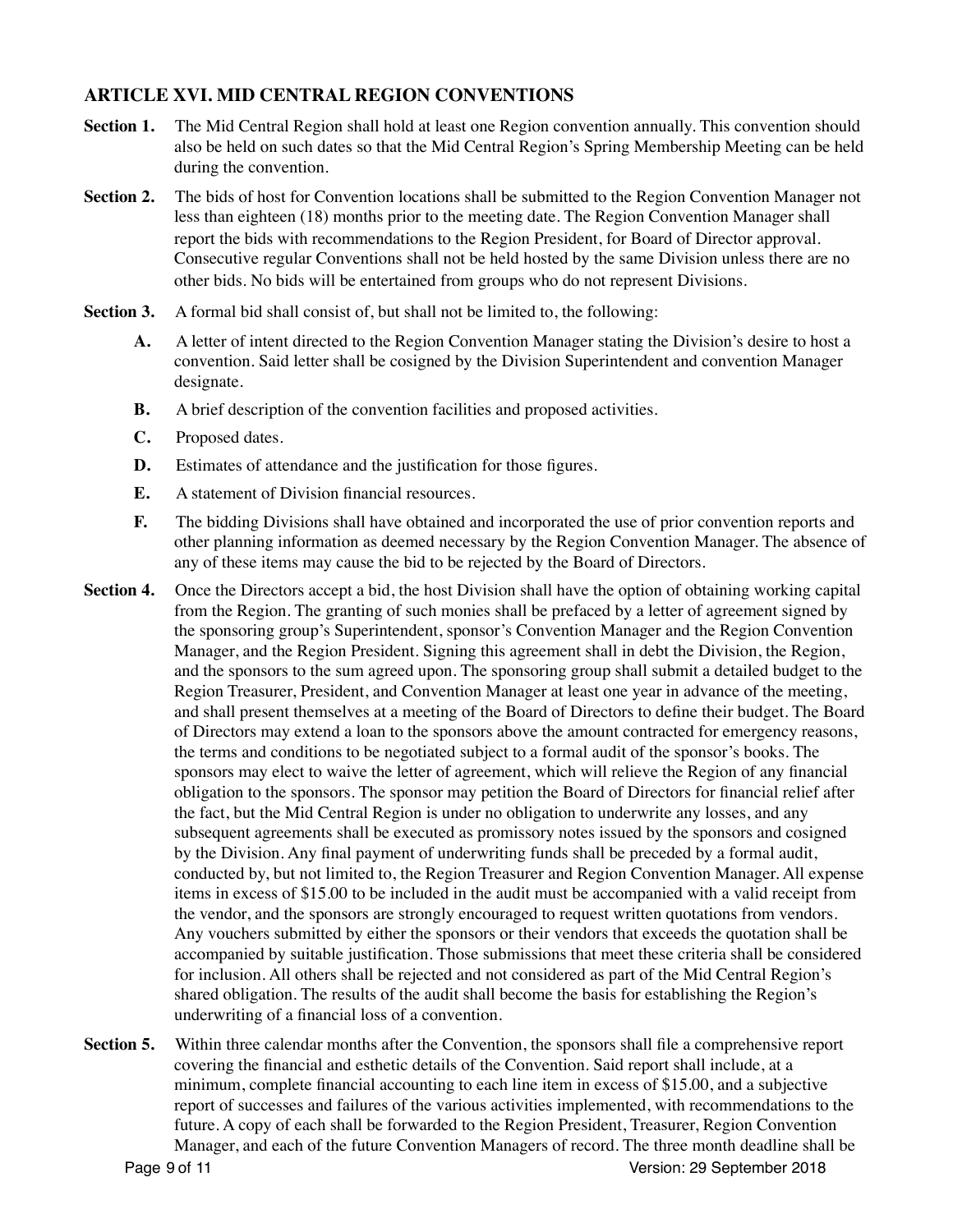# **ARTICLE XVI. MID CENTRAL REGION CONVENTIONS**

- **Section 1.** The Mid Central Region shall hold at least one Region convention annually. This convention should also be held on such dates so that the Mid Central Region's Spring Membership Meeting can be held during the convention.
- **Section 2.** The bids of host for Convention locations shall be submitted to the Region Convention Manager not less than eighteen (18) months prior to the meeting date. The Region Convention Manager shall report the bids with recommendations to the Region President, for Board of Director approval. Consecutive regular Conventions shall not be held hosted by the same Division unless there are no other bids. No bids will be entertained from groups who do not represent Divisions.
- **Section 3.** A formal bid shall consist of, but shall not be limited to, the following:
	- **A.** A letter of intent directed to the Region Convention Manager stating the Division's desire to host a convention. Said letter shall be cosigned by the Division Superintendent and convention Manager designate.
	- **B.** A brief description of the convention facilities and proposed activities.
	- **C.** Proposed dates.
	- **D.** Estimates of attendance and the justification for those figures.
	- **E.** A statement of Division financial resources.
	- **F.** The bidding Divisions shall have obtained and incorporated the use of prior convention reports and other planning information as deemed necessary by the Region Convention Manager. The absence of any of these items may cause the bid to be rejected by the Board of Directors.
- **Section 4.** Once the Directors accept a bid, the host Division shall have the option of obtaining working capital from the Region. The granting of such monies shall be prefaced by a letter of agreement signed by the sponsoring group's Superintendent, sponsor's Convention Manager and the Region Convention Manager, and the Region President. Signing this agreement shall in debt the Division, the Region, and the sponsors to the sum agreed upon. The sponsoring group shall submit a detailed budget to the Region Treasurer, President, and Convention Manager at least one year in advance of the meeting, and shall present themselves at a meeting of the Board of Directors to define their budget. The Board of Directors may extend a loan to the sponsors above the amount contracted for emergency reasons, the terms and conditions to be negotiated subject to a formal audit of the sponsor's books. The sponsors may elect to waive the letter of agreement, which will relieve the Region of any financial obligation to the sponsors. The sponsor may petition the Board of Directors for financial relief after the fact, but the Mid Central Region is under no obligation to underwrite any losses, and any subsequent agreements shall be executed as promissory notes issued by the sponsors and cosigned by the Division. Any final payment of underwriting funds shall be preceded by a formal audit, conducted by, but not limited to, the Region Treasurer and Region Convention Manager. All expense items in excess of \$15.00 to be included in the audit must be accompanied with a valid receipt from the vendor, and the sponsors are strongly encouraged to request written quotations from vendors. Any vouchers submitted by either the sponsors or their vendors that exceeds the quotation shall be accompanied by suitable justification. Those submissions that meet these criteria shall be considered for inclusion. All others shall be rejected and not considered as part of the Mid Central Region's shared obligation. The results of the audit shall become the basis for establishing the Region's underwriting of a financial loss of a convention.
- **Section 5.** Within three calendar months after the Convention, the sponsors shall file a comprehensive report covering the financial and esthetic details of the Convention. Said report shall include, at a minimum, complete financial accounting to each line item in excess of \$15.00, and a subjective report of successes and failures of the various activities implemented, with recommendations to the future. A copy of each shall be forwarded to the Region President, Treasurer, Region Convention Manager, and each of the future Convention Managers of record. The three month deadline shall be Page 9 of 11 Version: 29 September 2018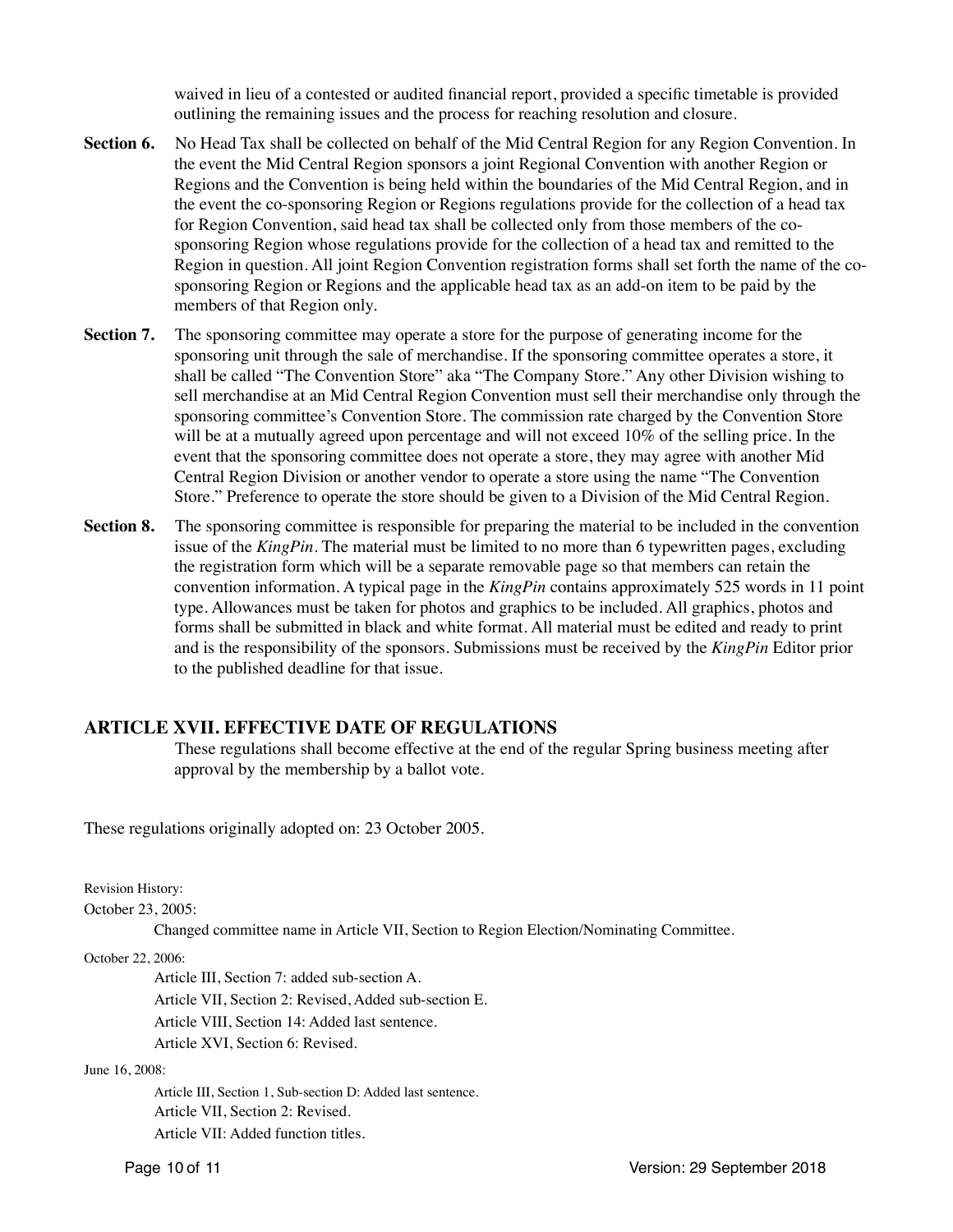waived in lieu of a contested or audited financial report, provided a specific timetable is provided outlining the remaining issues and the process for reaching resolution and closure.

- **Section 6.** No Head Tax shall be collected on behalf of the Mid Central Region for any Region Convention. In the event the Mid Central Region sponsors a joint Regional Convention with another Region or Regions and the Convention is being held within the boundaries of the Mid Central Region, and in the event the co-sponsoring Region or Regions regulations provide for the collection of a head tax for Region Convention, said head tax shall be collected only from those members of the cosponsoring Region whose regulations provide for the collection of a head tax and remitted to the Region in question. All joint Region Convention registration forms shall set forth the name of the cosponsoring Region or Regions and the applicable head tax as an add-on item to be paid by the members of that Region only.
- **Section 7.** The sponsoring committee may operate a store for the purpose of generating income for the sponsoring unit through the sale of merchandise. If the sponsoring committee operates a store, it shall be called "The Convention Store" aka "The Company Store." Any other Division wishing to sell merchandise at an Mid Central Region Convention must sell their merchandise only through the sponsoring committee's Convention Store. The commission rate charged by the Convention Store will be at a mutually agreed upon percentage and will not exceed 10% of the selling price. In the event that the sponsoring committee does not operate a store, they may agree with another Mid Central Region Division or another vendor to operate a store using the name "The Convention Store." Preference to operate the store should be given to a Division of the Mid Central Region.
- **Section 8.** The sponsoring committee is responsible for preparing the material to be included in the convention issue of the *KingPin*. The material must be limited to no more than 6 typewritten pages, excluding the registration form which will be a separate removable page so that members can retain the convention information. A typical page in the *KingPin* contains approximately 525 words in 11 point type. Allowances must be taken for photos and graphics to be included. All graphics, photos and forms shall be submitted in black and white format. All material must be edited and ready to print and is the responsibility of the sponsors. Submissions must be received by the *KingPin* Editor prior to the published deadline for that issue.

## **ARTICLE XVII. EFFECTIVE DATE OF REGULATIONS**

These regulations shall become effective at the end of the regular Spring business meeting after approval by the membership by a ballot vote.

These regulations originally adopted on: 23 October 2005.

Revision History:

October 23, 2005:

Changed committee name in Article VII, Section to Region Election/Nominating Committee.

October 22, 2006:

Article III, Section 7: added sub-section A.

Article VII, Section 2: Revised, Added sub-section E.

Article VIII, Section 14: Added last sentence.

Article XVI, Section 6: Revised.

June 16, 2008:

Article III, Section 1, Sub-section D: Added last sentence. Article VII, Section 2: Revised. Article VII: Added function titles.